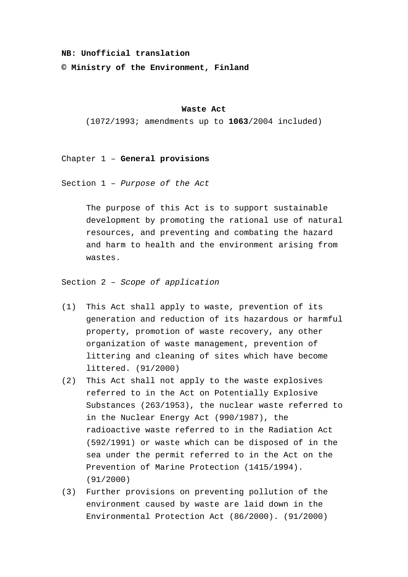#### **NB: Unofficial translation**

**© Ministry of the Environment, Finland**

#### **Waste Act**

(1072/1993; amendments up to **1063**/2004 included)

## Chapter 1 – **General provisions**

Section 1 – *Purpose of the Act*

The purpose of this Act is to support sustainable development by promoting the rational use of natural resources, and preventing and combating the hazard and harm to health and the environment arising from wastes.

Section 2 – *Scope of application*

- (1) This Act shall apply to waste, prevention of its generation and reduction of its hazardous or harmful property, promotion of waste recovery, any other organization of waste management, prevention of littering and cleaning of sites which have become littered. (91/2000)
- (2) This Act shall not apply to the waste explosives referred to in the Act on Potentially Explosive Substances (263/1953), the nuclear waste referred to in the Nuclear Energy Act (990/1987), the radioactive waste referred to in the Radiation Act (592/1991) or waste which can be disposed of in the sea under the permit referred to in the Act on the Prevention of Marine Protection (1415/1994). (91/2000)
- (3) Further provisions on preventing pollution of the environment caused by waste are laid down in the Environmental Protection Act (86/2000). (91/2000)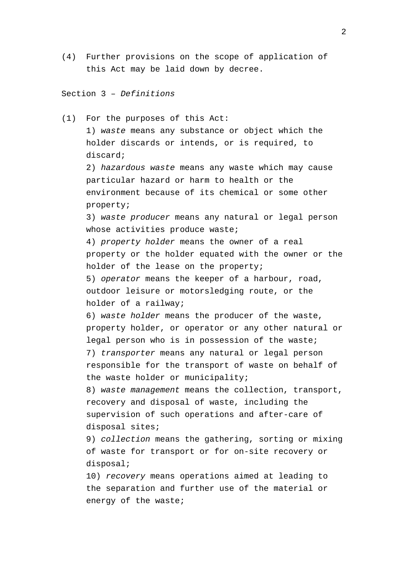(4) Further provisions on the scope of application of this Act may be laid down by decree.

# Section 3 – *Definitions*

energy of the waste;

(1) For the purposes of this Act: 1) *waste* means any substance or object which the holder discards or intends, or is required, to discard; 2) *hazardous waste* means any waste which may cause particular hazard or harm to health or the environment because of its chemical or some other property; 3) *waste producer* means any natural or legal person whose activities produce waste; 4) *property holder* means the owner of a real property or the holder equated with the owner or the holder of the lease on the property; 5) *operator* means the keeper of a harbour, road, outdoor leisure or motorsledging route, or the holder of a railway; 6) *waste holder* means the producer of the waste, property holder, or operator or any other natural or legal person who is in possession of the waste; 7) *transporter* means any natural or legal person responsible for the transport of waste on behalf of the waste holder or municipality; 8) *waste management* means the collection, transport, recovery and disposal of waste, including the supervision of such operations and after-care of disposal sites; 9) *collection* means the gathering, sorting or mixing of waste for transport or for on-site recovery or disposal; 10) *recovery* means operations aimed at leading to the separation and further use of the material or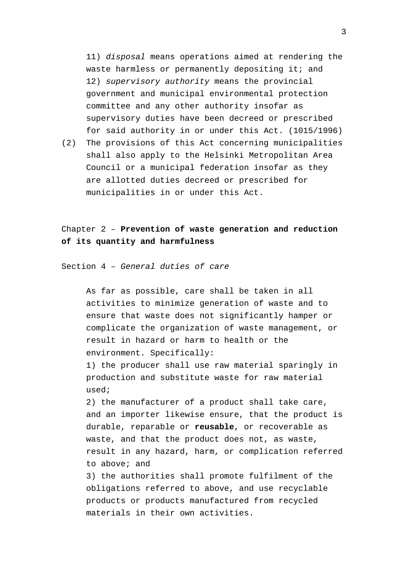11) *disposal* means operations aimed at rendering the waste harmless or permanently depositing it; and 12) *supervisory authority* means the provincial government and municipal environmental protection committee and any other authority insofar as supervisory duties have been decreed or prescribed for said authority in or under this Act. (1015/1996)

(2) The provisions of this Act concerning municipalities shall also apply to the Helsinki Metropolitan Area Council or a municipal federation insofar as they are allotted duties decreed or prescribed for municipalities in or under this Act.

Chapter 2 – **Prevention of waste generation and reduction of its quantity and harmfulness**

Section 4 – *General duties of care*

As far as possible, care shall be taken in all activities to minimize generation of waste and to ensure that waste does not significantly hamper or complicate the organization of waste management, or result in hazard or harm to health or the environment. Specifically:

1) the producer shall use raw material sparingly in production and substitute waste for raw material used;

2) the manufacturer of a product shall take care, and an importer likewise ensure, that the product is durable, reparable or **reusable**, or recoverable as waste, and that the product does not, as waste, result in any hazard, harm, or complication referred to above; and

3) the authorities shall promote fulfilment of the obligations referred to above, and use recyclable products or products manufactured from recycled materials in their own activities.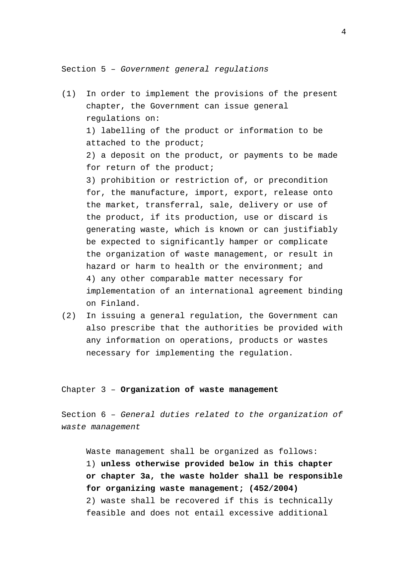Section 5 – *Government general regulations*

- (1) In order to implement the provisions of the present chapter, the Government can issue general regulations on: 1) labelling of the product or information to be attached to the product; 2) a deposit on the product, or payments to be made for return of the product; 3) prohibition or restriction of, or precondition for, the manufacture, import, export, release onto the market, transferral, sale, delivery or use of the product, if its production, use or discard is generating waste, which is known or can justifiably be expected to significantly hamper or complicate the organization of waste management, or result in hazard or harm to health or the environment; and 4) any other comparable matter necessary for implementation of an international agreement binding on Finland.
- (2) In issuing a general regulation, the Government can also prescribe that the authorities be provided with any information on operations, products or wastes necessary for implementing the regulation.

#### Chapter 3 – **Organization of waste management**

Section 6 – *General duties related to the organization of waste management*

Waste management shall be organized as follows: 1) **unless otherwise provided below in this chapter or chapter 3a, the waste holder shall be responsible for organizing waste management; (452/2004)** 2) waste shall be recovered if this is technically feasible and does not entail excessive additional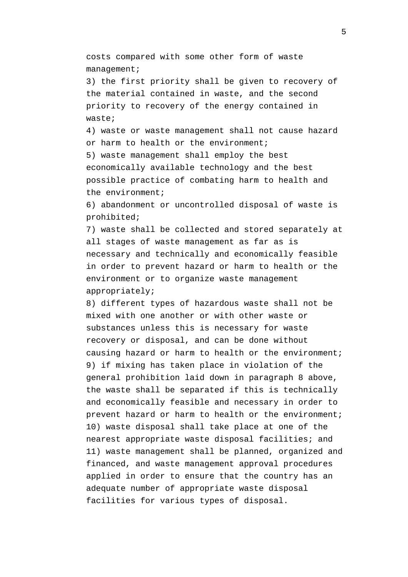costs compared with some other form of waste management;

3) the first priority shall be given to recovery of the material contained in waste, and the second priority to recovery of the energy contained in waste;

4) waste or waste management shall not cause hazard or harm to health or the environment;

5) waste management shall employ the best economically available technology and the best possible practice of combating harm to health and the environment;

6) abandonment or uncontrolled disposal of waste is prohibited;

7) waste shall be collected and stored separately at all stages of waste management as far as is necessary and technically and economically feasible in order to prevent hazard or harm to health or the environment or to organize waste management appropriately;

8) different types of hazardous waste shall not be mixed with one another or with other waste or substances unless this is necessary for waste recovery or disposal, and can be done without causing hazard or harm to health or the environment; 9) if mixing has taken place in violation of the general prohibition laid down in paragraph 8 above, the waste shall be separated if this is technically and economically feasible and necessary in order to prevent hazard or harm to health or the environment; 10) waste disposal shall take place at one of the nearest appropriate waste disposal facilities; and 11) waste management shall be planned, organized and financed, and waste management approval procedures applied in order to ensure that the country has an adequate number of appropriate waste disposal facilities for various types of disposal.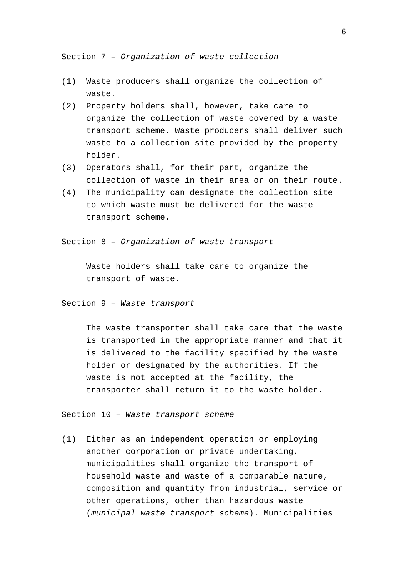Section 7 – *Organization of waste collection*

- (1) Waste producers shall organize the collection of waste.
- (2) Property holders shall, however, take care to organize the collection of waste covered by a waste transport scheme. Waste producers shall deliver such waste to a collection site provided by the property holder.
- (3) Operators shall, for their part, organize the collection of waste in their area or on their route.
- (4) The municipality can designate the collection site to which waste must be delivered for the waste transport scheme.

Section 8 – *Organization of waste transport*

Waste holders shall take care to organize the transport of waste.

Section 9 – *Waste transport*

The waste transporter shall take care that the waste is transported in the appropriate manner and that it is delivered to the facility specified by the waste holder or designated by the authorities. If the waste is not accepted at the facility, the transporter shall return it to the waste holder.

Section 10 – *Waste transport scheme*

(1) Either as an independent operation or employing another corporation or private undertaking, municipalities shall organize the transport of household waste and waste of a comparable nature, composition and quantity from industrial, service or other operations, other than hazardous waste (*municipal waste transport scheme*). Municipalities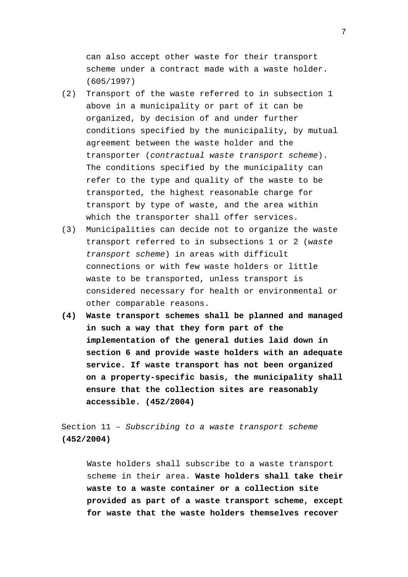can also accept other waste for their transport scheme under a contract made with a waste holder. (605/1997)

- (2) Transport of the waste referred to in subsection 1 above in a municipality or part of it can be organized, by decision of and under further conditions specified by the municipality, by mutual agreement between the waste holder and the transporter (*contractual waste transport scheme*). The conditions specified by the municipality can refer to the type and quality of the waste to be transported, the highest reasonable charge for transport by type of waste, and the area within which the transporter shall offer services.
- (3) Municipalities can decide not to organize the waste transport referred to in subsections 1 or 2 (*waste transport scheme*) in areas with difficult connections or with few waste holders or little waste to be transported, unless transport is considered necessary for health or environmental or other comparable reasons.
- **(4) Waste transport schemes shall be planned and managed in such a way that they form part of the implementation of the general duties laid down in section 6 and provide waste holders with an adequate service. If waste transport has not been organized on a property-specific basis, the municipality shall ensure that the collection sites are reasonably accessible. (452/2004)**

Section 11 – *Subscribing to a waste transport scheme* **(452/2004)**

Waste holders shall subscribe to a waste transport scheme in their area. **Waste holders shall take their waste to a waste container or a collection site provided as part of a waste transport scheme, except for waste that the waste holders themselves recover**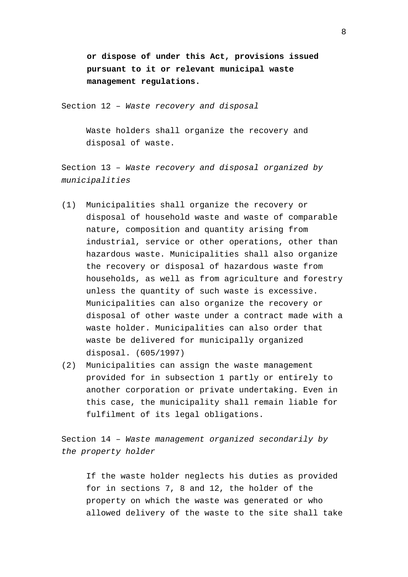**or dispose of under this Act, provisions issued pursuant to it or relevant municipal waste management regulations.**

Section 12 – *Waste recovery and disposal*

Waste holders shall organize the recovery and disposal of waste.

Section 13 – *Waste recovery and disposal organized by municipalities*

- (1) Municipalities shall organize the recovery or disposal of household waste and waste of comparable nature, composition and quantity arising from industrial, service or other operations, other than hazardous waste. Municipalities shall also organize the recovery or disposal of hazardous waste from households, as well as from agriculture and forestry unless the quantity of such waste is excessive. Municipalities can also organize the recovery or disposal of other waste under a contract made with a waste holder. Municipalities can also order that waste be delivered for municipally organized disposal. (605/1997)
- (2) Municipalities can assign the waste management provided for in subsection 1 partly or entirely to another corporation or private undertaking. Even in this case, the municipality shall remain liable for fulfilment of its legal obligations.

Section 14 – *Waste management organized secondarily by the property holder*

If the waste holder neglects his duties as provided for in sections 7, 8 and 12, the holder of the property on which the waste was generated or who allowed delivery of the waste to the site shall take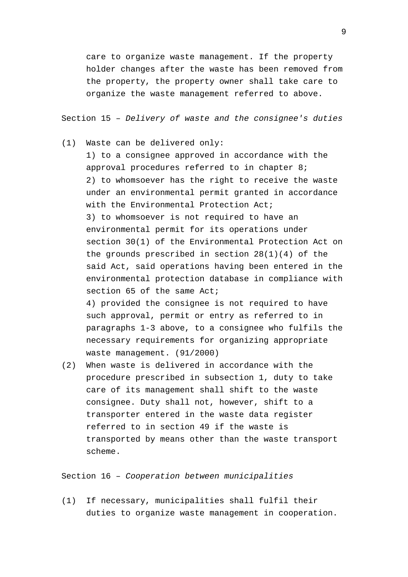care to organize waste management. If the property holder changes after the waste has been removed from the property, the property owner shall take care to organize the waste management referred to above.

Section 15 – *Delivery of waste and the consignee's duties*

(1) Waste can be delivered only:

1) to a consignee approved in accordance with the approval procedures referred to in chapter 8; 2) to whomsoever has the right to receive the waste under an environmental permit granted in accordance with the Environmental Protection Act; 3) to whomsoever is not required to have an environmental permit for its operations under section 30(1) of the Environmental Protection Act on the grounds prescribed in section 28(1)(4) of the said Act, said operations having been entered in the environmental protection database in compliance with section 65 of the same Act;

4) provided the consignee is not required to have such approval, permit or entry as referred to in paragraphs 1-3 above, to a consignee who fulfils the necessary requirements for organizing appropriate waste management. (91/2000)

(2) When waste is delivered in accordance with the procedure prescribed in subsection 1, duty to take care of its management shall shift to the waste consignee. Duty shall not, however, shift to a transporter entered in the waste data register referred to in section 49 if the waste is transported by means other than the waste transport scheme.

Section 16 – *Cooperation between municipalities*

(1) If necessary, municipalities shall fulfil their duties to organize waste management in cooperation.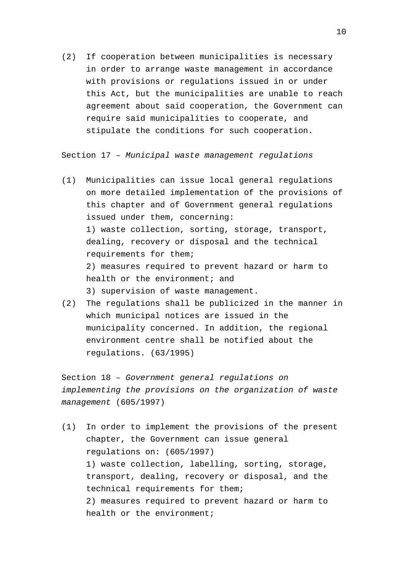(2) If cooperation between municipalities is necessary in order to arrange waste management in accordance with provisions or regulations issued in or under this Act, but the municipalities are unable to reach agreement about said cooperation, the Government can require said municipalities to cooperate, and stipulate the conditions for such cooperation.

Section 17 – *Municipal waste management regulations*

- (1) Municipalities can issue local general regulations on more detailed implementation of the provisions of this chapter and of Government general regulations issued under them, concerning: 1) waste collection, sorting, storage, transport, dealing, recovery or disposal and the technical requirements for them; 2) measures required to prevent hazard or harm to health or the environment; and 3) supervision of waste management.
- (2) The regulations shall be publicized in the manner in which municipal notices are issued in the municipality concerned. In addition, the regional environment centre shall be notified about the regulations. (63/1995)

Section 18 – *Government general regulations on implementing the provisions on the organization of waste management* (605/1997)

(1) In order to implement the provisions of the present chapter, the Government can issue general regulations on: (605/1997) 1) waste collection, labelling, sorting, storage, transport, dealing, recovery or disposal, and the technical requirements for them; 2) measures required to prevent hazard or harm to health or the environment;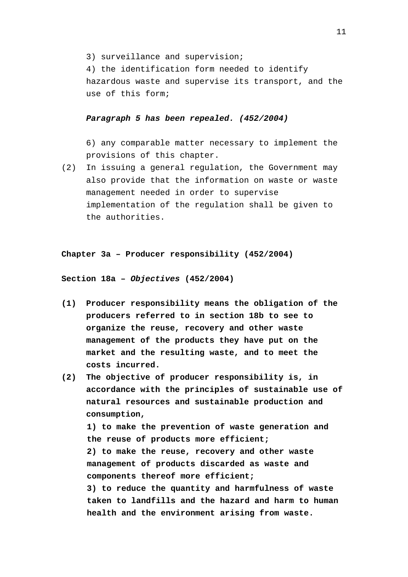3) surveillance and supervision;

4) the identification form needed to identify hazardous waste and supervise its transport, and the use of this form;

# *Paragraph 5 has been repealed. (452/2004)*

6) any comparable matter necessary to implement the provisions of this chapter.

(2) In issuing a general regulation, the Government may also provide that the information on waste or waste management needed in order to supervise implementation of the regulation shall be given to the authorities.

**Chapter 3a – Producer responsibility (452/2004)**

**Section 18a –** *Objectives* **(452/2004)**

- **(1) Producer responsibility means the obligation of the producers referred to in section 18b to see to organize the reuse, recovery and other waste management of the products they have put on the market and the resulting waste, and to meet the costs incurred.**
- **(2) The objective of producer responsibility is, in accordance with the principles of sustainable use of natural resources and sustainable production and consumption, 1) to make the prevention of waste generation and the reuse of products more efficient; 2) to make the reuse, recovery and other waste management of products discarded as waste and components thereof more efficient; 3) to reduce the quantity and harmfulness of waste taken to landfills and the hazard and harm to human health and the environment arising from waste.**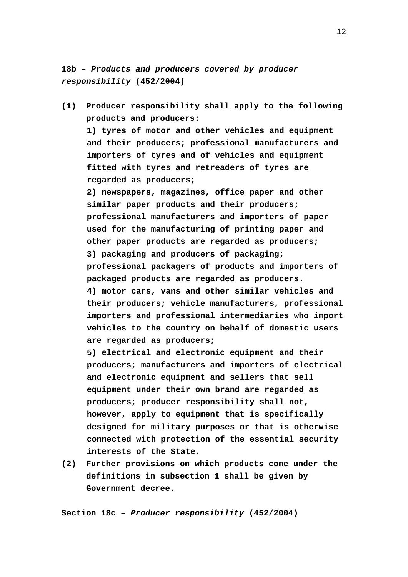**18b –** *Products and producers covered by producer responsibility* **(452/2004)**

**(1) Producer responsibility shall apply to the following products and producers: 1) tyres of motor and other vehicles and equipment and their producers; professional manufacturers and importers of tyres and of vehicles and equipment fitted with tyres and retreaders of tyres are regarded as producers; 2) newspapers, magazines, office paper and other similar paper products and their producers; professional manufacturers and importers of paper used for the manufacturing of printing paper and other paper products are regarded as producers; 3) packaging and producers of packaging; professional packagers of products and importers of packaged products are regarded as producers. 4) motor cars, vans and other similar vehicles and their producers; vehicle manufacturers, professional importers and professional intermediaries who import vehicles to the country on behalf of domestic users are regarded as producers;**

**5) electrical and electronic equipment and their producers; manufacturers and importers of electrical and electronic equipment and sellers that sell equipment under their own brand are regarded as producers; producer responsibility shall not, however, apply to equipment that is specifically designed for military purposes or that is otherwise connected with protection of the essential security interests of the State.**

**(2) Further provisions on which products come under the definitions in subsection 1 shall be given by Government decree.**

**Section 18c –** *Producer responsibility* **(452/2004)**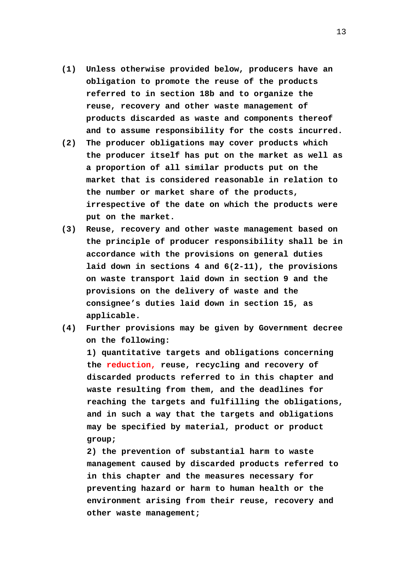- **(1) Unless otherwise provided below, producers have an obligation to promote the reuse of the products referred to in section 18b and to organize the reuse, recovery and other waste management of products discarded as waste and components thereof and to assume responsibility for the costs incurred.**
- **(2) The producer obligations may cover products which the producer itself has put on the market as well as a proportion of all similar products put on the market that is considered reasonable in relation to the number or market share of the products, irrespective of the date on which the products were put on the market.**
- **(3) Reuse, recovery and other waste management based on the principle of producer responsibility shall be in accordance with the provisions on general duties laid down in sections 4 and 6(2-11), the provisions on waste transport laid down in section 9 and the provisions on the delivery of waste and the consignee's duties laid down in section 15, as applicable.**
- **(4) Further provisions may be given by Government decree on the following:**

**1) quantitative targets and obligations concerning the reduction, reuse, recycling and recovery of discarded products referred to in this chapter and waste resulting from them, and the deadlines for reaching the targets and fulfilling the obligations, and in such a way that the targets and obligations may be specified by material, product or product group;**

**2) the prevention of substantial harm to waste management caused by discarded products referred to in this chapter and the measures necessary for preventing hazard or harm to human health or the environment arising from their reuse, recovery and other waste management;**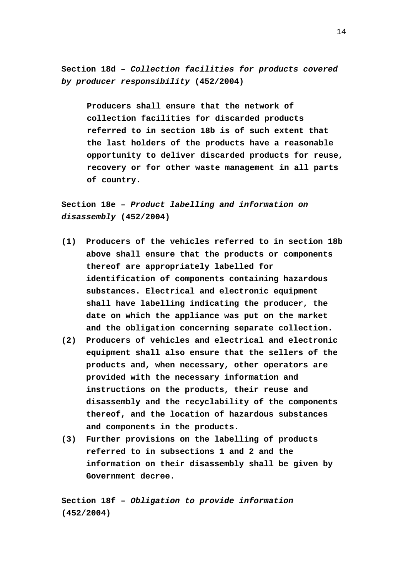**Section 18d –** *Collection facilities for products covered by producer responsibility* **(452/2004)**

**Producers shall ensure that the network of collection facilities for discarded products referred to in section 18b is of such extent that the last holders of the products have a reasonable opportunity to deliver discarded products for reuse, recovery or for other waste management in all parts of country.**

**Section 18e –** *Product labelling and information on disassembly* **(452/2004)**

- **(1) Producers of the vehicles referred to in section 18b above shall ensure that the products or components thereof are appropriately labelled for identification of components containing hazardous substances. Electrical and electronic equipment shall have labelling indicating the producer, the date on which the appliance was put on the market and the obligation concerning separate collection.**
- **(2) Producers of vehicles and electrical and electronic equipment shall also ensure that the sellers of the products and, when necessary, other operators are provided with the necessary information and instructions on the products, their reuse and disassembly and the recyclability of the components thereof, and the location of hazardous substances and components in the products.**
- **(3) Further provisions on the labelling of products referred to in subsections 1 and 2 and the information on their disassembly shall be given by Government decree.**

**Section 18f –** *Obligation to provide information* **(452/2004)**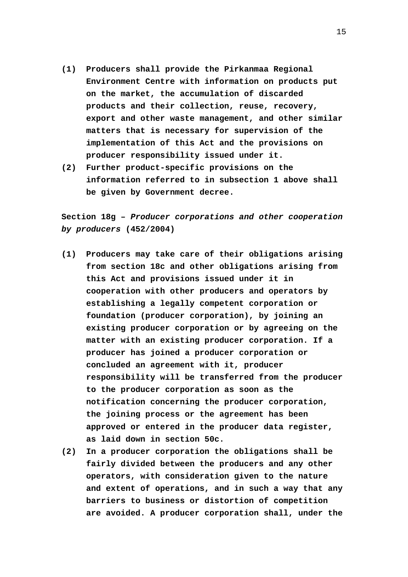- **(1) Producers shall provide the Pirkanmaa Regional Environment Centre with information on products put on the market, the accumulation of discarded products and their collection, reuse, recovery, export and other waste management, and other similar matters that is necessary for supervision of the implementation of this Act and the provisions on producer responsibility issued under it.**
- **(2) Further product-specific provisions on the information referred to in subsection 1 above shall be given by Government decree.**

**Section 18g –** *Producer corporations and other cooperation by producers* **(452/2004)**

- **(1) Producers may take care of their obligations arising from section 18c and other obligations arising from this Act and provisions issued under it in cooperation with other producers and operators by establishing a legally competent corporation or foundation (producer corporation), by joining an existing producer corporation or by agreeing on the matter with an existing producer corporation. If a producer has joined a producer corporation or concluded an agreement with it, producer responsibility will be transferred from the producer to the producer corporation as soon as the notification concerning the producer corporation, the joining process or the agreement has been approved or entered in the producer data register, as laid down in section 50c.**
- **(2) In a producer corporation the obligations shall be fairly divided between the producers and any other operators, with consideration given to the nature and extent of operations, and in such a way that any barriers to business or distortion of competition are avoided. A producer corporation shall, under the**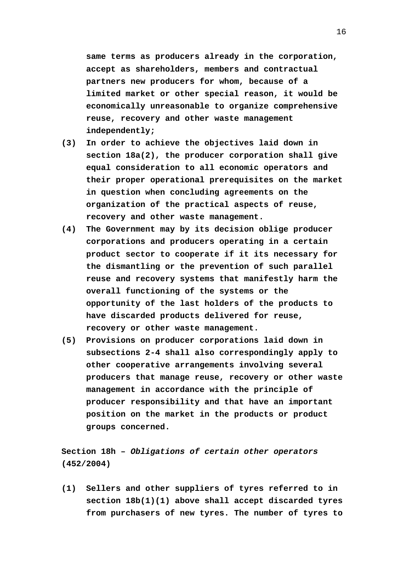**same terms as producers already in the corporation, accept as shareholders, members and contractual partners new producers for whom, because of a limited market or other special reason, it would be economically unreasonable to organize comprehensive reuse, recovery and other waste management independently;**

- **(3) In order to achieve the objectives laid down in section 18a(2), the producer corporation shall give equal consideration to all economic operators and their proper operational prerequisites on the market in question when concluding agreements on the organization of the practical aspects of reuse, recovery and other waste management.**
- **(4) The Government may by its decision oblige producer corporations and producers operating in a certain product sector to cooperate if it its necessary for the dismantling or the prevention of such parallel reuse and recovery systems that manifestly harm the overall functioning of the systems or the opportunity of the last holders of the products to have discarded products delivered for reuse, recovery or other waste management.**
- **(5) Provisions on producer corporations laid down in subsections 2-4 shall also correspondingly apply to other cooperative arrangements involving several producers that manage reuse, recovery or other waste management in accordance with the principle of producer responsibility and that have an important position on the market in the products or product groups concerned.**

**Section 18h –** *Obligations of certain other operators* **(452/2004)**

**(1) Sellers and other suppliers of tyres referred to in section 18b(1)(1) above shall accept discarded tyres from purchasers of new tyres. The number of tyres to**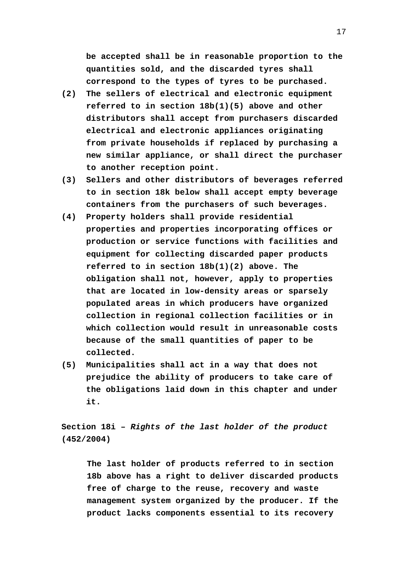**be accepted shall be in reasonable proportion to the quantities sold, and the discarded tyres shall correspond to the types of tyres to be purchased.**

- **(2) The sellers of electrical and electronic equipment referred to in section 18b(1)(5) above and other distributors shall accept from purchasers discarded electrical and electronic appliances originating from private households if replaced by purchasing a new similar appliance, or shall direct the purchaser to another reception point.**
- **(3) Sellers and other distributors of beverages referred to in section 18k below shall accept empty beverage containers from the purchasers of such beverages.**
- **(4) Property holders shall provide residential properties and properties incorporating offices or production or service functions with facilities and equipment for collecting discarded paper products referred to in section 18b(1)(2) above. The obligation shall not, however, apply to properties that are located in low-density areas or sparsely populated areas in which producers have organized collection in regional collection facilities or in which collection would result in unreasonable costs because of the small quantities of paper to be collected.**
- **(5) Municipalities shall act in a way that does not prejudice the ability of producers to take care of the obligations laid down in this chapter and under it.**

**Section 18i –** *Rights of the last holder of the product* **(452/2004)**

**The last holder of products referred to in section 18b above has a right to deliver discarded products free of charge to the reuse, recovery and waste management system organized by the producer. If the product lacks components essential to its recovery**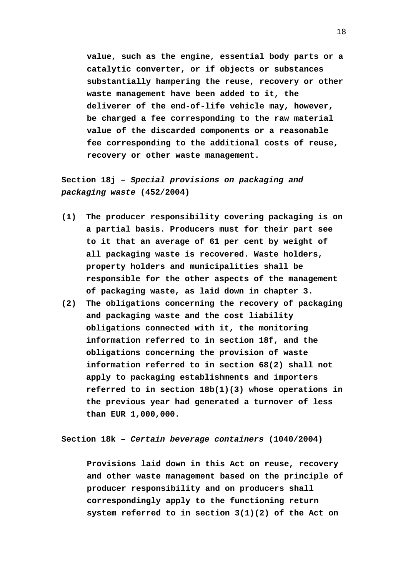**value, such as the engine, essential body parts or a catalytic converter, or if objects or substances substantially hampering the reuse, recovery or other waste management have been added to it, the deliverer of the end-of-life vehicle may, however, be charged a fee corresponding to the raw material value of the discarded components or a reasonable fee corresponding to the additional costs of reuse, recovery or other waste management.**

**Section 18j –** *Special provisions on packaging and packaging waste* **(452/2004)**

- **(1) The producer responsibility covering packaging is on a partial basis. Producers must for their part see to it that an average of 61 per cent by weight of all packaging waste is recovered. Waste holders, property holders and municipalities shall be responsible for the other aspects of the management of packaging waste, as laid down in chapter 3.**
- **(2) The obligations concerning the recovery of packaging and packaging waste and the cost liability obligations connected with it, the monitoring information referred to in section 18f, and the obligations concerning the provision of waste information referred to in section 68(2) shall not apply to packaging establishments and importers referred to in section 18b(1)(3) whose operations in the previous year had generated a turnover of less than EUR 1,000,000.**

**Section 18k –** *Certain beverage containers* **(1040/2004)**

**Provisions laid down in this Act on reuse, recovery and other waste management based on the principle of producer responsibility and on producers shall correspondingly apply to the functioning return system referred to in section 3(1)(2) of the Act on**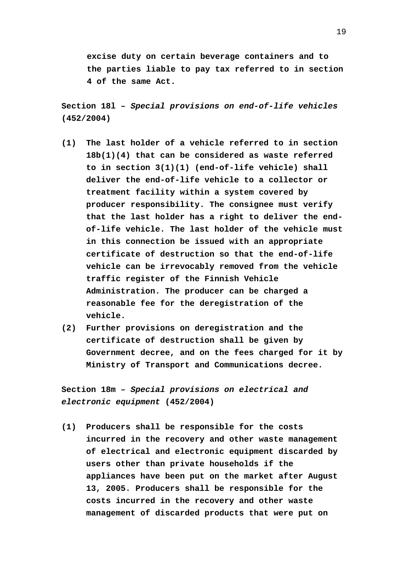**excise duty on certain beverage containers and to the parties liable to pay tax referred to in section 4 of the same Act.**

**Section 18l –** *Special provisions on end-of-life vehicles* **(452/2004)**

- **(1) The last holder of a vehicle referred to in section 18b(1)(4) that can be considered as waste referred to in section 3(1)(1) (end-of-life vehicle) shall deliver the end-of-life vehicle to a collector or treatment facility within a system covered by producer responsibility. The consignee must verify that the last holder has a right to deliver the endof-life vehicle. The last holder of the vehicle must in this connection be issued with an appropriate certificate of destruction so that the end-of-life vehicle can be irrevocably removed from the vehicle traffic register of the Finnish Vehicle Administration. The producer can be charged a reasonable fee for the deregistration of the vehicle.**
- **(2) Further provisions on deregistration and the certificate of destruction shall be given by Government decree, and on the fees charged for it by Ministry of Transport and Communications decree.**

**Section 18m –** *Special provisions on electrical and electronic equipment* **(452/2004)**

**(1) Producers shall be responsible for the costs incurred in the recovery and other waste management of electrical and electronic equipment discarded by users other than private households if the appliances have been put on the market after August 13, 2005. Producers shall be responsible for the costs incurred in the recovery and other waste management of discarded products that were put on**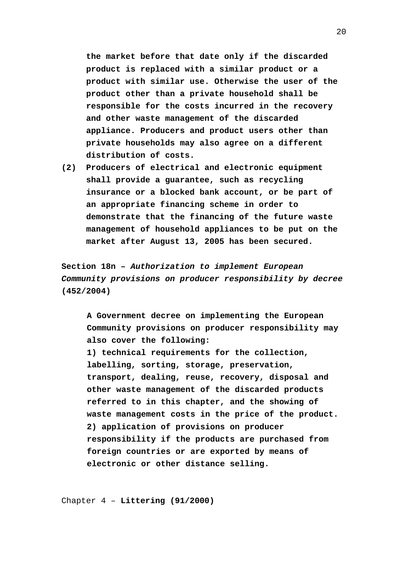**the market before that date only if the discarded product is replaced with a similar product or a product with similar use. Otherwise the user of the product other than a private household shall be responsible for the costs incurred in the recovery and other waste management of the discarded appliance. Producers and product users other than private households may also agree on a different distribution of costs.**

**(2) Producers of electrical and electronic equipment shall provide a guarantee, such as recycling insurance or a blocked bank account, or be part of an appropriate financing scheme in order to demonstrate that the financing of the future waste management of household appliances to be put on the market after August 13, 2005 has been secured.**

**Section 18n –** *Authorization to implement European Community provisions on producer responsibility by decree* **(452/2004)**

**A Government decree on implementing the European Community provisions on producer responsibility may also cover the following: 1) technical requirements for the collection, labelling, sorting, storage, preservation, transport, dealing, reuse, recovery, disposal and other waste management of the discarded products referred to in this chapter, and the showing of waste management costs in the price of the product. 2) application of provisions on producer responsibility if the products are purchased from foreign countries or are exported by means of electronic or other distance selling.**

Chapter 4 – **Littering (91/2000)**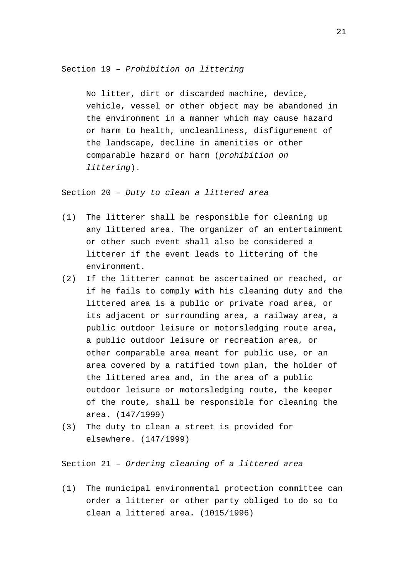Section 19 – *Prohibition on littering*

No litter, dirt or discarded machine, device, vehicle, vessel or other object may be abandoned in the environment in a manner which may cause hazard or harm to health, uncleanliness, disfigurement of the landscape, decline in amenities or other comparable hazard or harm (*prohibition on littering*).

Section 20 – *Duty to clean a littered area*

- (1) The litterer shall be responsible for cleaning up any littered area. The organizer of an entertainment or other such event shall also be considered a litterer if the event leads to littering of the environment.
- (2) If the litterer cannot be ascertained or reached, or if he fails to comply with his cleaning duty and the littered area is a public or private road area, or its adjacent or surrounding area, a railway area, a public outdoor leisure or motorsledging route area, a public outdoor leisure or recreation area, or other comparable area meant for public use, or an area covered by a ratified town plan, the holder of the littered area and, in the area of a public outdoor leisure or motorsledging route, the keeper of the route, shall be responsible for cleaning the area. (147/1999)
- (3) The duty to clean a street is provided for elsewhere. (147/1999)

Section 21 – *Ordering cleaning of a littered area*

(1) The municipal environmental protection committee can order a litterer or other party obliged to do so to clean a littered area. (1015/1996)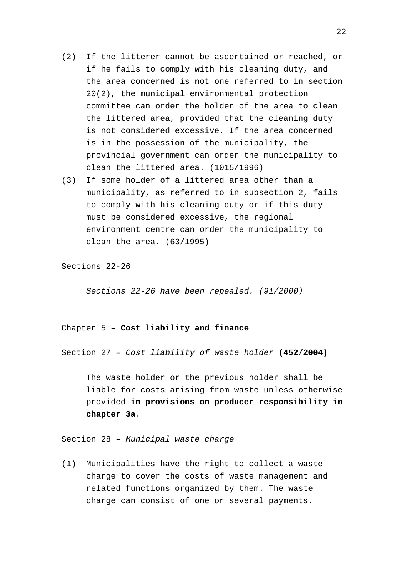- (2) If the litterer cannot be ascertained or reached, or if he fails to comply with his cleaning duty, and the area concerned is not one referred to in section 20(2), the municipal environmental protection committee can order the holder of the area to clean the littered area, provided that the cleaning duty is not considered excessive. If the area concerned is in the possession of the municipality, the provincial government can order the municipality to clean the littered area. (1015/1996)
- (3) If some holder of a littered area other than a municipality, as referred to in subsection 2, fails to comply with his cleaning duty or if this duty must be considered excessive, the regional environment centre can order the municipality to clean the area. (63/1995)

Sections 22-26

*Sections 22-26 have been repealed. (91/2000)*

# Chapter 5 – **Cost liability and finance**

Section 27 – *Cost liability of waste holder* **(452/2004)**

The waste holder or the previous holder shall be liable for costs arising from waste unless otherwise provided **in provisions on producer responsibility in chapter 3a**.

Section 28 – *Municipal waste charge*

(1) Municipalities have the right to collect a waste charge to cover the costs of waste management and related functions organized by them. The waste charge can consist of one or several payments.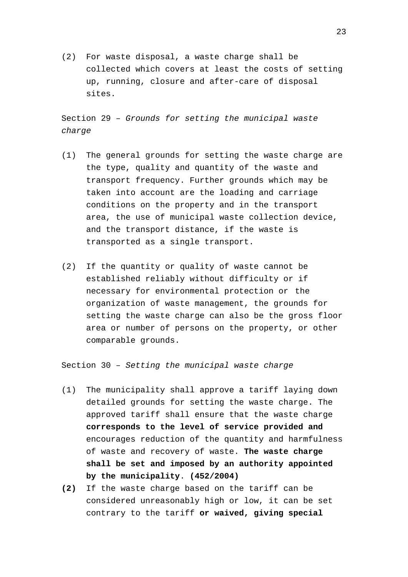(2) For waste disposal, a waste charge shall be collected which covers at least the costs of setting up, running, closure and after-care of disposal sites.

Section 29 – *Grounds for setting the municipal waste charge*

- (1) The general grounds for setting the waste charge are the type, quality and quantity of the waste and transport frequency. Further grounds which may be taken into account are the loading and carriage conditions on the property and in the transport area, the use of municipal waste collection device, and the transport distance, if the waste is transported as a single transport.
- (2) If the quantity or quality of waste cannot be established reliably without difficulty or if necessary for environmental protection or the organization of waste management, the grounds for setting the waste charge can also be the gross floor area or number of persons on the property, or other comparable grounds.

Section 30 – *Setting the municipal waste charge*

- (1) The municipality shall approve a tariff laying down detailed grounds for setting the waste charge. The approved tariff shall ensure that the waste charge **corresponds to the level of service provided and** encourages reduction of the quantity and harmfulness of waste and recovery of waste. **The waste charge shall be set and imposed by an authority appointed by the municipality**. **(452/2004)**
- **(2)** If the waste charge based on the tariff can be considered unreasonably high or low, it can be set contrary to the tariff **or waived, giving special**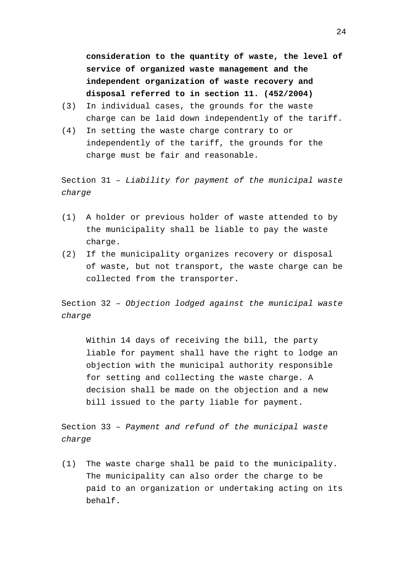**consideration to the quantity of waste, the level of service of organized waste management and the independent organization of waste recovery and disposal referred to in section 11. (452/2004)**

- (3) In individual cases, the grounds for the waste charge can be laid down independently of the tariff.
- (4) In setting the waste charge contrary to or independently of the tariff, the grounds for the charge must be fair and reasonable.

Section 31 – *Liability for payment of the municipal waste charge*

- (1) A holder or previous holder of waste attended to by the municipality shall be liable to pay the waste charge.
- (2) If the municipality organizes recovery or disposal of waste, but not transport, the waste charge can be collected from the transporter.

Section 32 – *Objection lodged against the municipal waste charge*

Within 14 days of receiving the bill, the party liable for payment shall have the right to lodge an objection with the municipal authority responsible for setting and collecting the waste charge. A decision shall be made on the objection and a new bill issued to the party liable for payment.

Section 33 – *Payment and refund of the municipal waste charge*

(1) The waste charge shall be paid to the municipality. The municipality can also order the charge to be paid to an organization or undertaking acting on its behalf.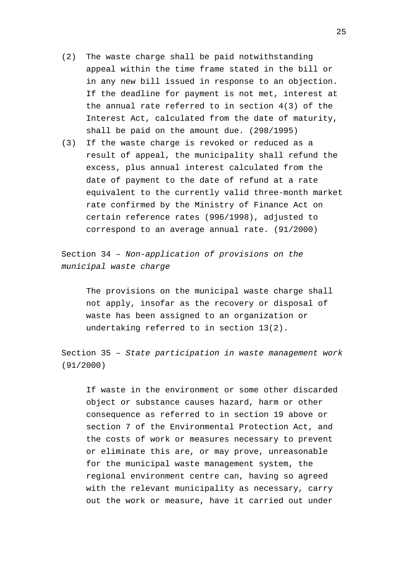- (2) The waste charge shall be paid notwithstanding appeal within the time frame stated in the bill or in any new bill issued in response to an objection. If the deadline for payment is not met, interest at the annual rate referred to in section 4(3) of the Interest Act, calculated from the date of maturity, shall be paid on the amount due. (298/1995)
- (3) If the waste charge is revoked or reduced as a result of appeal, the municipality shall refund the excess, plus annual interest calculated from the date of payment to the date of refund at a rate equivalent to the currently valid three-month market rate confirmed by the Ministry of Finance Act on certain reference rates (996/1998), adjusted to correspond to an average annual rate. (91/2000)

Section 34 – *Non-application of provisions on the municipal waste charge*

> The provisions on the municipal waste charge shall not apply, insofar as the recovery or disposal of waste has been assigned to an organization or undertaking referred to in section 13(2).

Section 35 – *State participation in waste management work* (91/2000)

If waste in the environment or some other discarded object or substance causes hazard, harm or other consequence as referred to in section 19 above or section 7 of the Environmental Protection Act, and the costs of work or measures necessary to prevent or eliminate this are, or may prove, unreasonable for the municipal waste management system, the regional environment centre can, having so agreed with the relevant municipality as necessary, carry out the work or measure, have it carried out under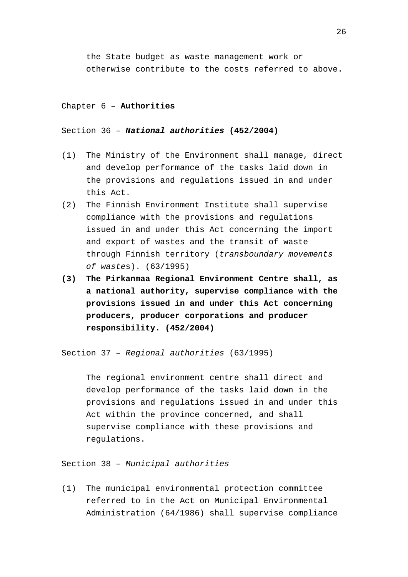the State budget as waste management work or otherwise contribute to the costs referred to above.

#### Chapter 6 – **Authorities**

# Section 36 – *National authorities* **(452/2004)**

- (1) The Ministry of the Environment shall manage, direct and develop performance of the tasks laid down in the provisions and regulations issued in and under this Act.
- (2) The Finnish Environment Institute shall supervise compliance with the provisions and regulations issued in and under this Act concerning the import and export of wastes and the transit of waste through Finnish territory (*transboundary movements of waste*s). (63/1995)
- **(3) The Pirkanmaa Regional Environment Centre shall, as a national authority, supervise compliance with the provisions issued in and under this Act concerning producers, producer corporations and producer responsibility. (452/2004)**

Section 37 – *Regional authorities* (63/1995)

The regional environment centre shall direct and develop performance of the tasks laid down in the provisions and regulations issued in and under this Act within the province concerned, and shall supervise compliance with these provisions and regulations.

Section 38 – *Municipal authorities*

(1) The municipal environmental protection committee referred to in the Act on Municipal Environmental Administration (64/1986) shall supervise compliance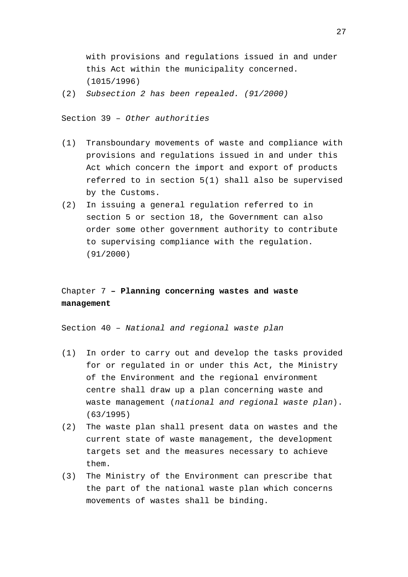with provisions and regulations issued in and under this Act within the municipality concerned. (1015/1996)

(2) *Subsection 2 has been repealed. (91/2000)*

Section 39 – *Other authorities*

- (1) Transboundary movements of waste and compliance with provisions and regulations issued in and under this Act which concern the import and export of products referred to in section 5(1) shall also be supervised by the Customs.
- (2) In issuing a general regulation referred to in section 5 or section 18, the Government can also order some other government authority to contribute to supervising compliance with the regulation. (91/2000)

# Chapter 7 **– Planning concerning wastes and waste management**

Section 40 – *National and regional waste plan*

- (1) In order to carry out and develop the tasks provided for or regulated in or under this Act, the Ministry of the Environment and the regional environment centre shall draw up a plan concerning waste and waste management (*national and regional waste plan*). (63/1995)
- (2) The waste plan shall present data on wastes and the current state of waste management, the development targets set and the measures necessary to achieve them.
- (3) The Ministry of the Environment can prescribe that the part of the national waste plan which concerns movements of wastes shall be binding.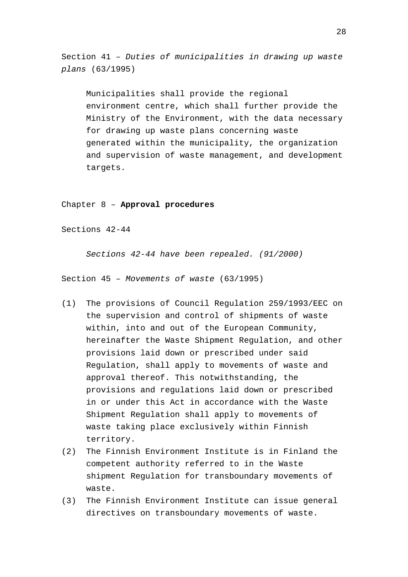Section 41 – *Duties of municipalities in drawing up waste plans* (63/1995)

Municipalities shall provide the regional environment centre, which shall further provide the Ministry of the Environment, with the data necessary for drawing up waste plans concerning waste generated within the municipality, the organization and supervision of waste management, and development targets.

Chapter 8 – **Approval procedures**

Sections 42-44

*Sections 42-44 have been repealed. (91/2000)*

Section 45 – *Movements of waste* (63/1995)

- (1) The provisions of Council Regulation 259/1993/EEC on the supervision and control of shipments of waste within, into and out of the European Community, hereinafter the Waste Shipment Regulation, and other provisions laid down or prescribed under said Regulation, shall apply to movements of waste and approval thereof. This notwithstanding, the provisions and regulations laid down or prescribed in or under this Act in accordance with the Waste Shipment Regulation shall apply to movements of waste taking place exclusively within Finnish territory.
- (2) The Finnish Environment Institute is in Finland the competent authority referred to in the Waste shipment Regulation for transboundary movements of waste.
- (3) The Finnish Environment Institute can issue general directives on transboundary movements of waste.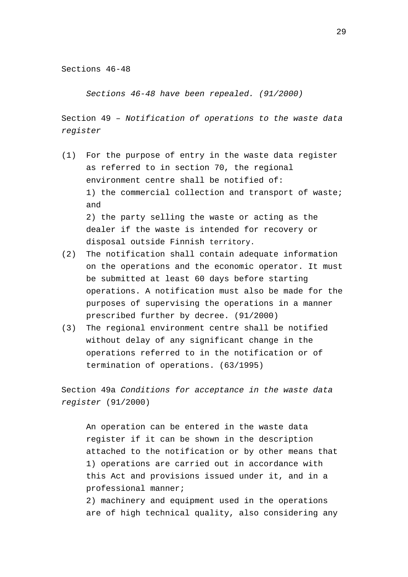Sections 46-48

*Sections 46-48 have been repealed. (91/2000)*

Section 49 – *Notification of operations to the waste data register*

- (1) For the purpose of entry in the waste data register as referred to in section 70, the regional environment centre shall be notified of: 1) the commercial collection and transport of waste; and 2) the party selling the waste or acting as the dealer if the waste is intended for recovery or disposal outside Finnish territory.
- (2) The notification shall contain adequate information on the operations and the economic operator. It must be submitted at least 60 days before starting operations. A notification must also be made for the purposes of supervising the operations in a manner prescribed further by decree. (91/2000)
- (3) The regional environment centre shall be notified without delay of any significant change in the operations referred to in the notification or of termination of operations. (63/1995)

Section 49a *Conditions for acceptance in the waste data register* (91/2000)

An operation can be entered in the waste data register if it can be shown in the description attached to the notification or by other means that 1) operations are carried out in accordance with this Act and provisions issued under it, and in a professional manner; 2) machinery and equipment used in the operations

are of high technical quality, also considering any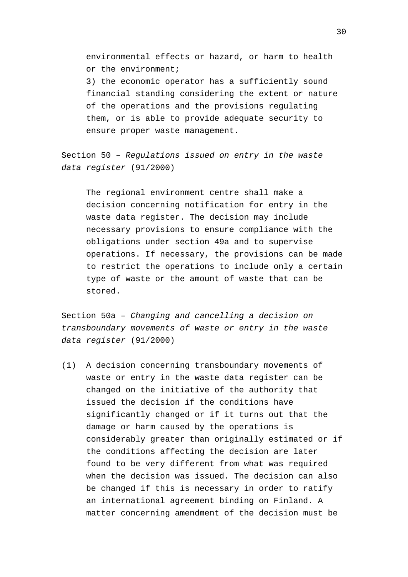environmental effects or hazard, or harm to health or the environment;

3) the economic operator has a sufficiently sound financial standing considering the extent or nature of the operations and the provisions regulating them, or is able to provide adequate security to ensure proper waste management.

Section 50 – *Regulations issued on entry in the waste data register* (91/2000)

The regional environment centre shall make a decision concerning notification for entry in the waste data register. The decision may include necessary provisions to ensure compliance with the obligations under section 49a and to supervise operations. If necessary, the provisions can be made to restrict the operations to include only a certain type of waste or the amount of waste that can be stored.

Section 50a – *Changing and cancelling a decision on transboundary movements of waste or entry in the waste data register* (91/2000)

(1) A decision concerning transboundary movements of waste or entry in the waste data register can be changed on the initiative of the authority that issued the decision if the conditions have significantly changed or if it turns out that the damage or harm caused by the operations is considerably greater than originally estimated or if the conditions affecting the decision are later found to be very different from what was required when the decision was issued. The decision can also be changed if this is necessary in order to ratify an international agreement binding on Finland. A matter concerning amendment of the decision must be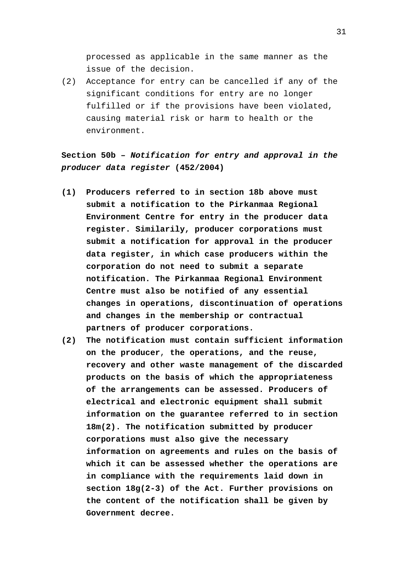processed as applicable in the same manner as the issue of the decision.

(2) Acceptance for entry can be cancelled if any of the significant conditions for entry are no longer fulfilled or if the provisions have been violated, causing material risk or harm to health or the environment.

**Section 50b –** *Notification for entry and approval in the producer data register* **(452/2004)**

- **(1) Producers referred to in section 18b above must submit a notification to the Pirkanmaa Regional Environment Centre for entry in the producer data register. Similarily, producer corporations must submit a notification for approval in the producer data register, in which case producers within the corporation do not need to submit a separate notification. The Pirkanmaa Regional Environment Centre must also be notified of any essential changes in operations, discontinuation of operations and changes in the membership or contractual partners of producer corporations.**
- **(2) The notification must contain sufficient information on the producer**, **the operations, and the reuse, recovery and other waste management of the discarded products on the basis of which the appropriateness of the arrangements can be assessed. Producers of electrical and electronic equipment shall submit information on the guarantee referred to in section 18m(2). The notification submitted by producer corporations must also give the necessary information on agreements and rules on the basis of which it can be assessed whether the operations are in compliance with the requirements laid down in section 18g(2-3) of the Act. Further provisions on the content of the notification shall be given by Government decree.**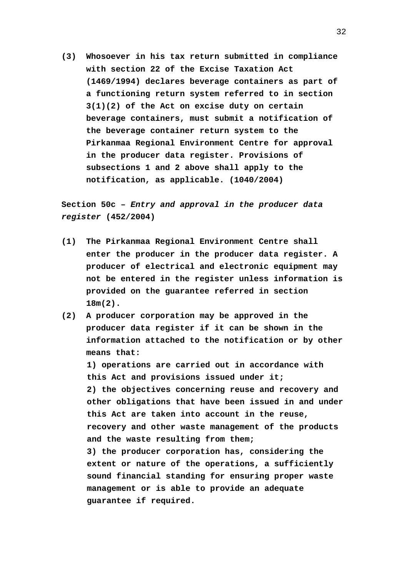**(3) Whosoever in his tax return submitted in compliance with section 22 of the Excise Taxation Act (1469/1994) declares beverage containers as part of a functioning return system referred to in section 3(1)(2) of the Act on excise duty on certain beverage containers, must submit a notification of the beverage container return system to the Pirkanmaa Regional Environment Centre for approval in the producer data register. Provisions of subsections 1 and 2 above shall apply to the notification, as applicable. (1040/2004)**

**Section 50c –** *Entry and approval in the producer data register* **(452/2004)**

- **(1) The Pirkanmaa Regional Environment Centre shall enter the producer in the producer data register. A producer of electrical and electronic equipment may not be entered in the register unless information is provided on the guarantee referred in section 18m(2).**
- **(2) A producer corporation may be approved in the producer data register if it can be shown in the information attached to the notification or by other means that:**

**1) operations are carried out in accordance with this Act and provisions issued under it; 2) the objectives concerning reuse and recovery and other obligations that have been issued in and under this Act are taken into account in the reuse, recovery and other waste management of the products and the waste resulting from them; 3) the producer corporation has, considering the extent or nature of the operations, a sufficiently sound financial standing for ensuring proper waste**

**management or is able to provide an adequate guarantee if required.**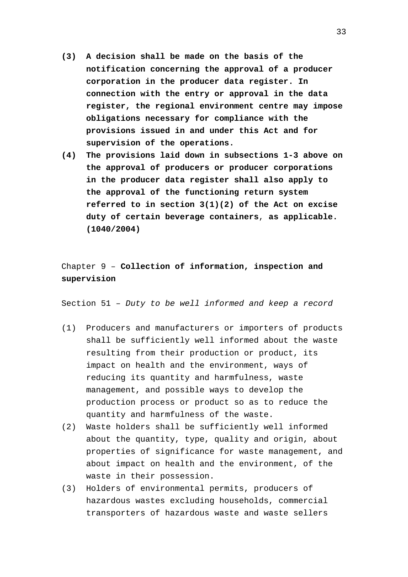- **(3) A decision shall be made on the basis of the notification concerning the approval of a producer corporation in the producer data register. In connection with the entry or approval in the data register, the regional environment centre may impose obligations necessary for compliance with the provisions issued in and under this Act and for supervision of the operations.**
- **(4) The provisions laid down in subsections 1-3 above on the approval of producers or producer corporations in the producer data register shall also apply to the approval of the functioning return system referred to in section 3(1)(2) of the Act on excise duty of certain beverage containers**, **as applicable. (1040/2004)**

# Chapter 9 – **Collection of information, inspection and supervision**

Section 51 – *Duty to be well informed and keep a record*

- (1) Producers and manufacturers or importers of products shall be sufficiently well informed about the waste resulting from their production or product, its impact on health and the environment, ways of reducing its quantity and harmfulness, waste management, and possible ways to develop the production process or product so as to reduce the quantity and harmfulness of the waste.
- (2) Waste holders shall be sufficiently well informed about the quantity, type, quality and origin, about properties of significance for waste management, and about impact on health and the environment, of the waste in their possession.
- (3) Holders of environmental permits, producers of hazardous wastes excluding households, commercial transporters of hazardous waste and waste sellers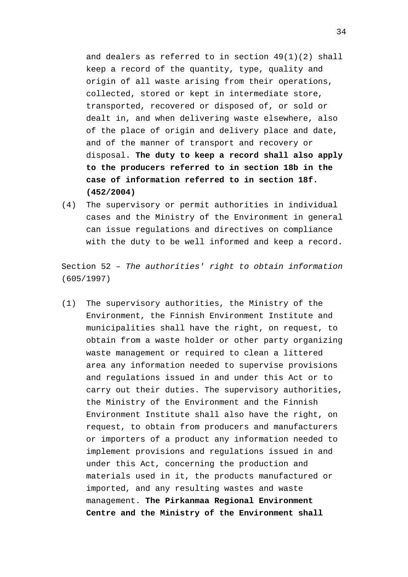and dealers as referred to in section 49(1)(2) shall keep a record of the quantity, type, quality and origin of all waste arising from their operations, collected, stored or kept in intermediate store, transported, recovered or disposed of, or sold or dealt in, and when delivering waste elsewhere, also of the place of origin and delivery place and date, and of the manner of transport and recovery or disposal. **The duty to keep a record shall also apply to the producers referred to in section 18b in the case of information referred to in section 18f. (452/2004)**

(4) The supervisory or permit authorities in individual cases and the Ministry of the Environment in general can issue regulations and directives on compliance with the duty to be well informed and keep a record.

Section 52 – *The authorities' right to obtain information* (605/1997)

(1) The supervisory authorities, the Ministry of the Environment, the Finnish Environment Institute and municipalities shall have the right, on request, to obtain from a waste holder or other party organizing waste management or required to clean a littered area any information needed to supervise provisions and regulations issued in and under this Act or to carry out their duties. The supervisory authorities, the Ministry of the Environment and the Finnish Environment Institute shall also have the right, on request, to obtain from producers and manufacturers or importers of a product any information needed to implement provisions and regulations issued in and under this Act, concerning the production and materials used in it, the products manufactured or imported, and any resulting wastes and waste management. **The Pirkanmaa Regional Environment Centre and the Ministry of the Environment shall**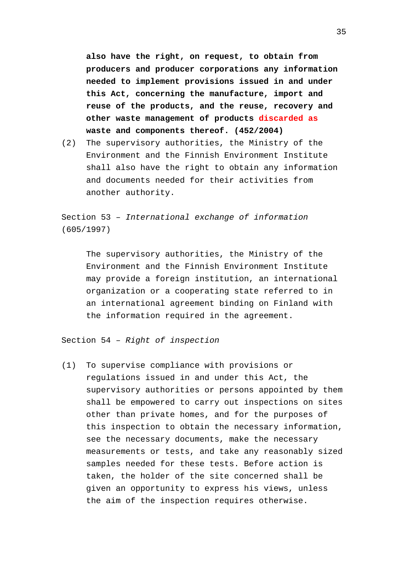**also have the right, on request, to obtain from producers and producer corporations any information needed to implement provisions issued in and under this Act, concerning the manufacture, import and reuse of the products, and the reuse, recovery and other waste management of products discarded as waste and components thereof. (452/2004)**

(2) The supervisory authorities, the Ministry of the Environment and the Finnish Environment Institute shall also have the right to obtain any information and documents needed for their activities from another authority.

Section 53 – *International exchange of information* (605/1997)

The supervisory authorities, the Ministry of the Environment and the Finnish Environment Institute may provide a foreign institution, an international organization or a cooperating state referred to in an international agreement binding on Finland with the information required in the agreement.

Section 54 – *Right of inspection*

(1) To supervise compliance with provisions or regulations issued in and under this Act, the supervisory authorities or persons appointed by them shall be empowered to carry out inspections on sites other than private homes, and for the purposes of this inspection to obtain the necessary information, see the necessary documents, make the necessary measurements or tests, and take any reasonably sized samples needed for these tests. Before action is taken, the holder of the site concerned shall be given an opportunity to express his views, unless the aim of the inspection requires otherwise.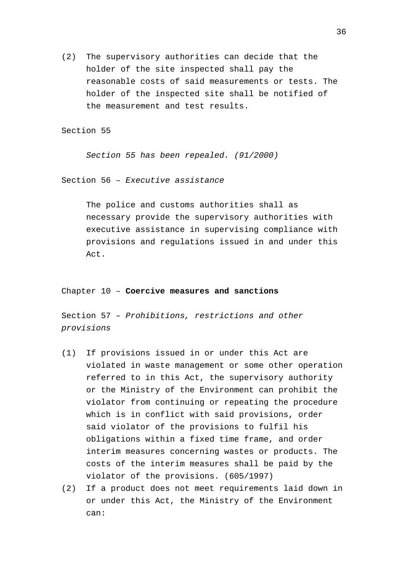(2) The supervisory authorities can decide that the holder of the site inspected shall pay the reasonable costs of said measurements or tests. The holder of the inspected site shall be notified of the measurement and test results.

Section 55

*Section 55 has been repealed. (91/2000)*

Section 56 – *Executive assistance*

The police and customs authorities shall as necessary provide the supervisory authorities with executive assistance in supervising compliance with provisions and regulations issued in and under this Act.

Chapter 10 – **Coercive measures and sanctions**

Section 57 – *Prohibitions, restrictions and other provisions*

- (1) If provisions issued in or under this Act are violated in waste management or some other operation referred to in this Act, the supervisory authority or the Ministry of the Environment can prohibit the violator from continuing or repeating the procedure which is in conflict with said provisions, order said violator of the provisions to fulfil his obligations within a fixed time frame, and order interim measures concerning wastes or products. The costs of the interim measures shall be paid by the violator of the provisions. (605/1997)
- (2) If a product does not meet requirements laid down in or under this Act, the Ministry of the Environment can: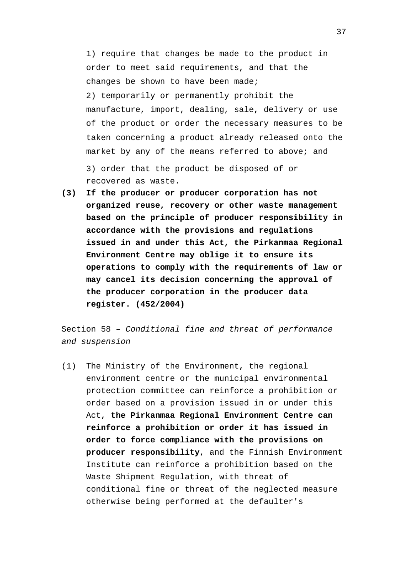1) require that changes be made to the product in order to meet said requirements, and that the changes be shown to have been made; 2) temporarily or permanently prohibit the manufacture, import, dealing, sale, delivery or use of the product or order the necessary measures to be taken concerning a product already released onto the market by any of the means referred to above; and 3) order that the product be disposed of or recovered as waste.

**(3) If the producer or producer corporation has not organized reuse, recovery or other waste management based on the principle of producer responsibility in accordance with the provisions and regulations issued in and under this Act, the Pirkanmaa Regional Environment Centre may oblige it to ensure its operations to comply with the requirements of law or may cancel its decision concerning the approval of the producer corporation in the producer data register. (452/2004)**

Section 58 – *Conditional fine and threat of performance and suspension*

(1) The Ministry of the Environment, the regional environment centre or the municipal environmental protection committee can reinforce a prohibition or order based on a provision issued in or under this Act, **the Pirkanmaa Regional Environment Centre can reinforce a prohibition or order it has issued in order to force compliance with the provisions on producer responsibility**, and the Finnish Environment Institute can reinforce a prohibition based on the Waste Shipment Regulation, with threat of conditional fine or threat of the neglected measure otherwise being performed at the defaulter's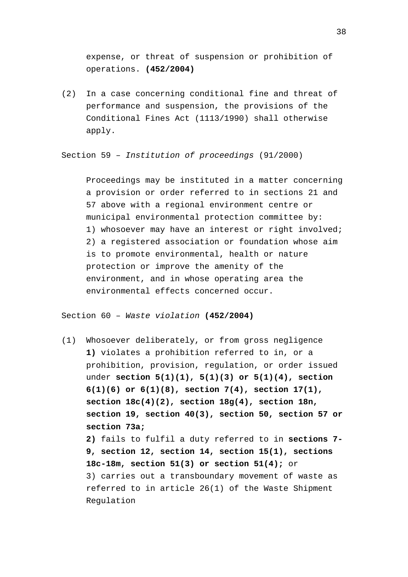expense, or threat of suspension or prohibition of operations. **(452/2004)**

(2) In a case concerning conditional fine and threat of performance and suspension, the provisions of the Conditional Fines Act (1113/1990) shall otherwise apply.

Section 59 – *Institution of proceedings* (91/2000)

Proceedings may be instituted in a matter concerning a provision or order referred to in sections 21 and 57 above with a regional environment centre or municipal environmental protection committee by: 1) whosoever may have an interest or right involved; 2) a registered association or foundation whose aim is to promote environmental, health or nature protection or improve the amenity of the environment, and in whose operating area the environmental effects concerned occur.

Section 60 – *Waste violation* **(452/2004)**

(1) Whosoever deliberately, or from gross negligence **1)** violates a prohibition referred to in, or a prohibition, provision, regulation, or order issued under **section 5(1)(1), 5(1)(3) or 5(1)(4), section 6(1)(6) or 6(1)(8), section 7(4), section 17(1), section 18c(4)(2), section 18g(4), section 18n, section 19, section 40(3), section 50, section 57 or section 73a; 2)** fails to fulfil a duty referred to in **sections 7- 9, section 12, section 14, section 15(1), sections 18c-18m, section 51(3) or section 51(4);** or 3) carries out a transboundary movement of waste as referred to in article 26(1) of the Waste Shipment Regulation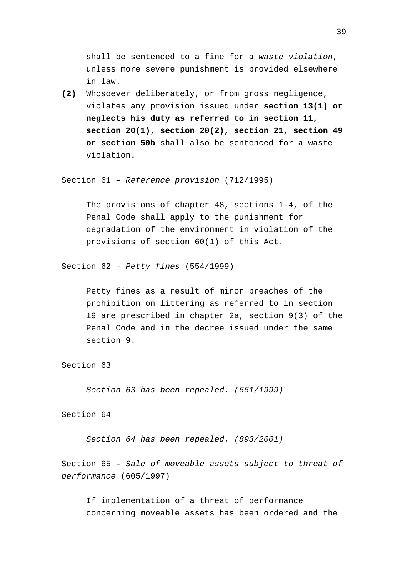shall be sentenced to a fine for a *waste violation*, unless more severe punishment is provided elsewhere in law.

**(2)** Whosoever deliberately, or from gross negligence, violates any provision issued under **section 13(1) or neglects his duty as referred to in section 11, section 20(1), section 20(2), section 21, section 49 or section 50b** shall also be sentenced for a waste violation**.**

Section 61 – *Reference provision* (712/1995)

The provisions of chapter 48, sections 1-4, of the Penal Code shall apply to the punishment for degradation of the environment in violation of the provisions of section 60(1) of this Act.

Section 62 – *Petty fines* (554/1999)

Petty fines as a result of minor breaches of the prohibition on littering as referred to in section 19 are prescribed in chapter 2a, section 9(3) of the Penal Code and in the decree issued under the same section 9.

Section 63

*Section 63 has been repealed. (661/1999)*

Section 64

*Section 64 has been repealed. (893/2001)*

Section 65 – *Sale of moveable assets subject to threat of performance* (605/1997)

If implementation of a threat of performance concerning moveable assets has been ordered and the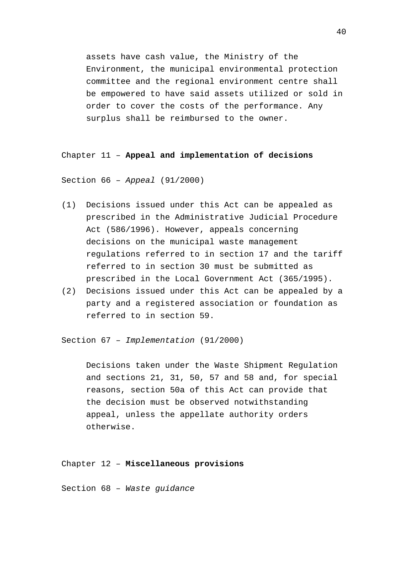assets have cash value, the Ministry of the Environment, the municipal environmental protection committee and the regional environment centre shall be empowered to have said assets utilized or sold in order to cover the costs of the performance. Any surplus shall be reimbursed to the owner.

#### Chapter 11 – **Appeal and implementation of decisions**

Section 66 – *Appeal* (91/2000)

- (1) Decisions issued under this Act can be appealed as prescribed in the Administrative Judicial Procedure Act (586/1996). However, appeals concerning decisions on the municipal waste management regulations referred to in section 17 and the tariff referred to in section 30 must be submitted as prescribed in the Local Government Act (365/1995).
- (2) Decisions issued under this Act can be appealed by a party and a registered association or foundation as referred to in section 59.

Section 67 – *Implementation* (91/2000)

Decisions taken under the Waste Shipment Regulation and sections 21, 31, 50, 57 and 58 and, for special reasons, section 50a of this Act can provide that the decision must be observed notwithstanding appeal, unless the appellate authority orders otherwise.

Chapter 12 – **Miscellaneous provisions**

Section 68 – *Waste guidance*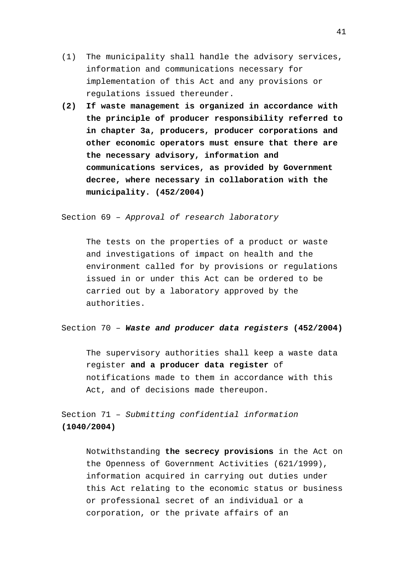- (1) The municipality shall handle the advisory services, information and communications necessary for implementation of this Act and any provisions or regulations issued thereunder.
- **(2) If waste management is organized in accordance with the principle of producer responsibility referred to in chapter 3a, producers, producer corporations and other economic operators must ensure that there are the necessary advisory, information and communications services, as provided by Government decree, where necessary in collaboration with the municipality. (452/2004)**

Section 69 – *Approval of research laboratory*

The tests on the properties of a product or waste and investigations of impact on health and the environment called for by provisions or regulations issued in or under this Act can be ordered to be carried out by a laboratory approved by the authorities.

Section 70 – *Waste and producer data registers* **(452/2004)**

The supervisory authorities shall keep a waste data register **and a producer data register** of notifications made to them in accordance with this Act, and of decisions made thereupon.

Section 71 – *Submitting confidential information* **(1040/2004)**

> Notwithstanding **the secrecy provisions** in the Act on the Openness of Government Activities (621/1999), information acquired in carrying out duties under this Act relating to the economic status or business or professional secret of an individual or a corporation, or the private affairs of an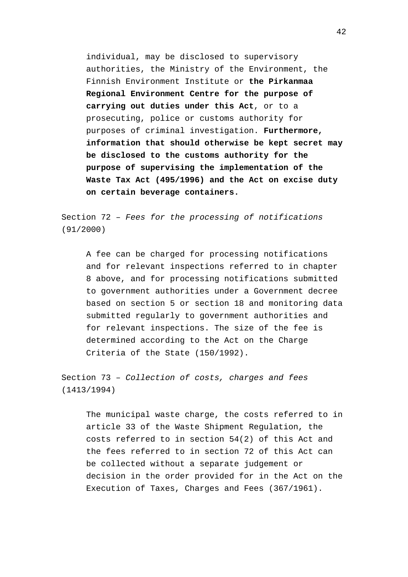individual, may be disclosed to supervisory authorities, the Ministry of the Environment, the Finnish Environment Institute or **the Pirkanmaa Regional Environment Centre for the purpose of carrying out duties under this Act**, or to a prosecuting, police or customs authority for purposes of criminal investigation. **Furthermore, information that should otherwise be kept secret may be disclosed to the customs authority for the purpose of supervising the implementation of the Waste Tax Act (495/1996) and the Act on excise duty on certain beverage containers.**

Section 72 – *Fees for the processing of notifications* (91/2000)

A fee can be charged for processing notifications and for relevant inspections referred to in chapter 8 above, and for processing notifications submitted to government authorities under a Government decree based on section 5 or section 18 and monitoring data submitted regularly to government authorities and for relevant inspections. The size of the fee is determined according to the Act on the Charge Criteria of the State (150/1992).

Section 73 – *Collection of costs, charges and fees* (1413/1994)

The municipal waste charge, the costs referred to in article 33 of the Waste Shipment Regulation, the costs referred to in section 54(2) of this Act and the fees referred to in section 72 of this Act can be collected without a separate judgement or decision in the order provided for in the Act on the Execution of Taxes, Charges and Fees (367/1961).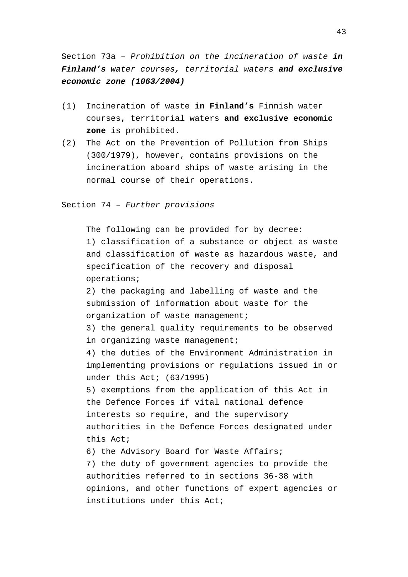Section 73a – *Prohibition on the incineration of waste in Finland's water courses, territorial waters and exclusive economic zone (1063/2004)*

- (1) Incineration of waste **in Finland's** Finnish water courses**,** territorial waters **and exclusive economic zone** is prohibited.
- (2) The Act on the Prevention of Pollution from Ships (300/1979), however, contains provisions on the incineration aboard ships of waste arising in the normal course of their operations.

Section 74 – *Further provisions*

The following can be provided for by decree: 1) classification of a substance or object as waste and classification of waste as hazardous waste, and specification of the recovery and disposal operations;

2) the packaging and labelling of waste and the submission of information about waste for the organization of waste management;

3) the general quality requirements to be observed in organizing waste management;

4) the duties of the Environment Administration in implementing provisions or regulations issued in or under this Act; (63/1995)

5) exemptions from the application of this Act in the Defence Forces if vital national defence interests so require, and the supervisory authorities in the Defence Forces designated under this Act;

6) the Advisory Board for Waste Affairs; 7) the duty of government agencies to provide the authorities referred to in sections 36-38 with opinions, and other functions of expert agencies or institutions under this Act;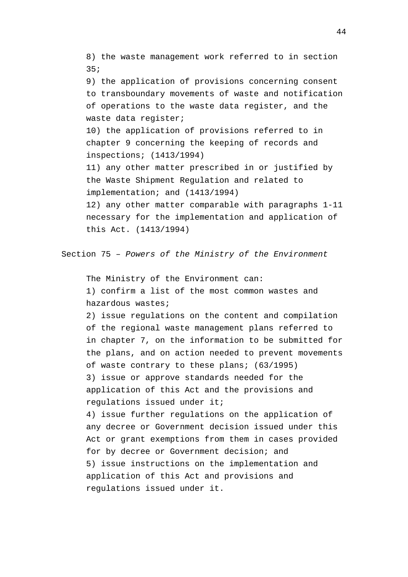8) the waste management work referred to in section 35;

9) the application of provisions concerning consent to transboundary movements of waste and notification of operations to the waste data register, and the waste data register;

10) the application of provisions referred to in chapter 9 concerning the keeping of records and inspections; (1413/1994)

11) any other matter prescribed in or justified by the Waste Shipment Regulation and related to implementation; and (1413/1994)

12) any other matter comparable with paragraphs 1-11 necessary for the implementation and application of this Act. (1413/1994)

Section 75 – *Powers of the Ministry of the Environment*

The Ministry of the Environment can:

1) confirm a list of the most common wastes and hazardous wastes;

2) issue regulations on the content and compilation of the regional waste management plans referred to in chapter 7, on the information to be submitted for the plans, and on action needed to prevent movements of waste contrary to these plans; (63/1995) 3) issue or approve standards needed for the application of this Act and the provisions and regulations issued under it;

4) issue further regulations on the application of any decree or Government decision issued under this Act or grant exemptions from them in cases provided for by decree or Government decision; and 5) issue instructions on the implementation and application of this Act and provisions and regulations issued under it.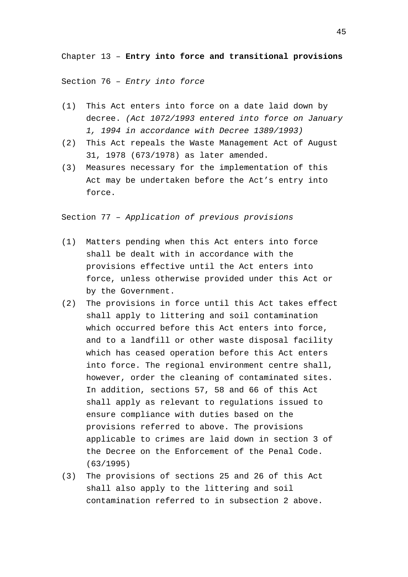Chapter 13 – **Entry into force and transitional provisions**

Section 76 – *Entry into force*

- (1) This Act enters into force on a date laid down by decree. *(Act 1072/1993 entered into force on January 1, 1994 in accordance with Decree 1389/1993)*
- (2) This Act repeals the Waste Management Act of August 31, 1978 (673/1978) as later amended.
- (3) Measures necessary for the implementation of this Act may be undertaken before the Act's entry into force.

Section 77 – *Application of previous provisions*

- (1) Matters pending when this Act enters into force shall be dealt with in accordance with the provisions effective until the Act enters into force, unless otherwise provided under this Act or by the Government.
- (2) The provisions in force until this Act takes effect shall apply to littering and soil contamination which occurred before this Act enters into force, and to a landfill or other waste disposal facility which has ceased operation before this Act enters into force. The regional environment centre shall, however, order the cleaning of contaminated sites. In addition, sections 57, 58 and 66 of this Act shall apply as relevant to regulations issued to ensure compliance with duties based on the provisions referred to above. The provisions applicable to crimes are laid down in section 3 of the Decree on the Enforcement of the Penal Code. (63/1995)
- (3) The provisions of sections 25 and 26 of this Act shall also apply to the littering and soil contamination referred to in subsection 2 above.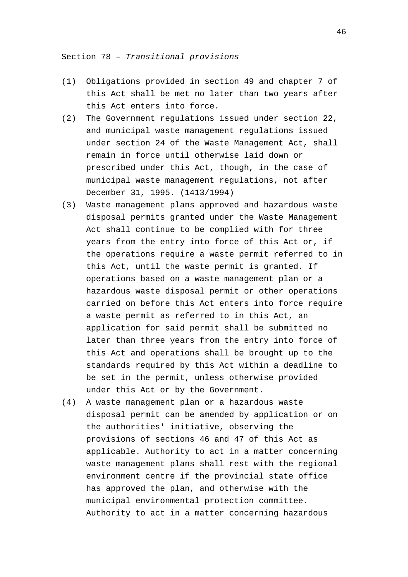Section 78 – *Transitional provisions*

- (1) Obligations provided in section 49 and chapter 7 of this Act shall be met no later than two years after this Act enters into force.
- (2) The Government regulations issued under section 22, and municipal waste management regulations issued under section 24 of the Waste Management Act, shall remain in force until otherwise laid down or prescribed under this Act, though, in the case of municipal waste management regulations, not after December 31, 1995. (1413/1994)
- (3) Waste management plans approved and hazardous waste disposal permits granted under the Waste Management Act shall continue to be complied with for three years from the entry into force of this Act or, if the operations require a waste permit referred to in this Act, until the waste permit is granted. If operations based on a waste management plan or a hazardous waste disposal permit or other operations carried on before this Act enters into force require a waste permit as referred to in this Act, an application for said permit shall be submitted no later than three years from the entry into force of this Act and operations shall be brought up to the standards required by this Act within a deadline to be set in the permit, unless otherwise provided under this Act or by the Government.
- (4) A waste management plan or a hazardous waste disposal permit can be amended by application or on the authorities' initiative, observing the provisions of sections 46 and 47 of this Act as applicable. Authority to act in a matter concerning waste management plans shall rest with the regional environment centre if the provincial state office has approved the plan, and otherwise with the municipal environmental protection committee. Authority to act in a matter concerning hazardous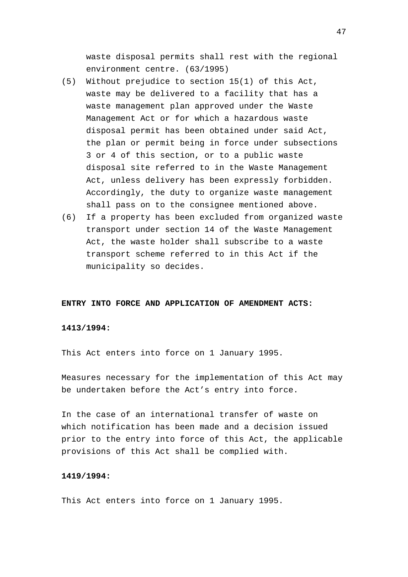waste disposal permits shall rest with the regional environment centre. (63/1995)

- (5) Without prejudice to section 15(1) of this Act, waste may be delivered to a facility that has a waste management plan approved under the Waste Management Act or for which a hazardous waste disposal permit has been obtained under said Act, the plan or permit being in force under subsections 3 or 4 of this section, or to a public waste disposal site referred to in the Waste Management Act, unless delivery has been expressly forbidden. Accordingly, the duty to organize waste management shall pass on to the consignee mentioned above.
- (6) If a property has been excluded from organized waste transport under section 14 of the Waste Management Act, the waste holder shall subscribe to a waste transport scheme referred to in this Act if the municipality so decides.

# **ENTRY INTO FORCE AND APPLICATION OF AMENDMENT ACTS:**

# **1413/1994:**

This Act enters into force on 1 January 1995.

Measures necessary for the implementation of this Act may be undertaken before the Act's entry into force.

In the case of an international transfer of waste on which notification has been made and a decision issued prior to the entry into force of this Act, the applicable provisions of this Act shall be complied with.

# **1419/1994:**

This Act enters into force on 1 January 1995.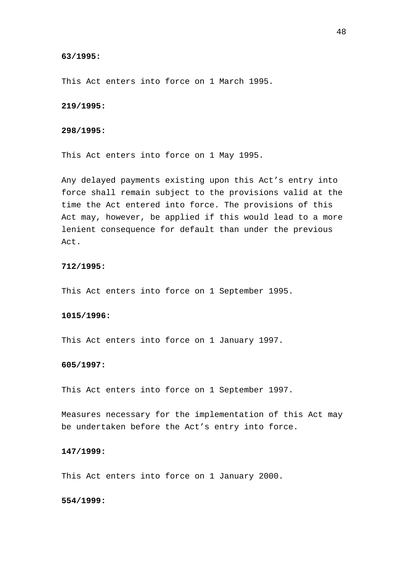# **63/1995:**

This Act enters into force on 1 March 1995.

## **219/1995:**

## **298/1995:**

This Act enters into force on 1 May 1995.

Any delayed payments existing upon this Act's entry into force shall remain subject to the provisions valid at the time the Act entered into force. The provisions of this Act may, however, be applied if this would lead to a more lenient consequence for default than under the previous Act.

# **712/1995:**

This Act enters into force on 1 September 1995.

## **1015/1996:**

This Act enters into force on 1 January 1997.

# **605/1997:**

This Act enters into force on 1 September 1997.

Measures necessary for the implementation of this Act may be undertaken before the Act's entry into force.

## **147/1999:**

This Act enters into force on 1 January 2000.

# **554/1999:**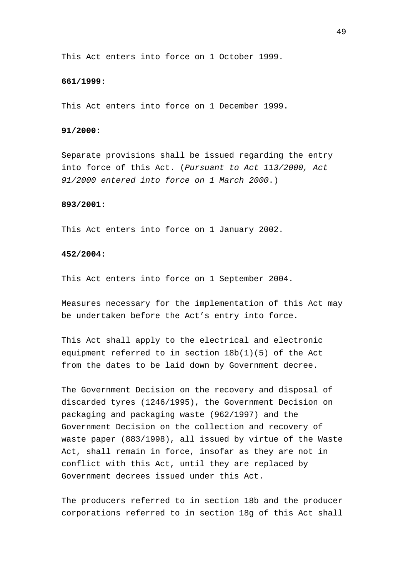This Act enters into force on 1 October 1999.

## **661/1999:**

This Act enters into force on 1 December 1999.

## **91/2000:**

Separate provisions shall be issued regarding the entry into force of this Act. (*Pursuant to Act 113/2000, Act 91/2000 entered into force on 1 March 2000*.)

#### **893/2001:**

This Act enters into force on 1 January 2002.

# **452/2004:**

This Act enters into force on 1 September 2004.

Measures necessary for the implementation of this Act may be undertaken before the Act's entry into force.

This Act shall apply to the electrical and electronic equipment referred to in section 18b(1)(5) of the Act from the dates to be laid down by Government decree.

The Government Decision on the recovery and disposal of discarded tyres (1246/1995), the Government Decision on packaging and packaging waste (962/1997) and the Government Decision on the collection and recovery of waste paper (883/1998), all issued by virtue of the Waste Act, shall remain in force, insofar as they are not in conflict with this Act, until they are replaced by Government decrees issued under this Act.

The producers referred to in section 18b and the producer corporations referred to in section 18g of this Act shall